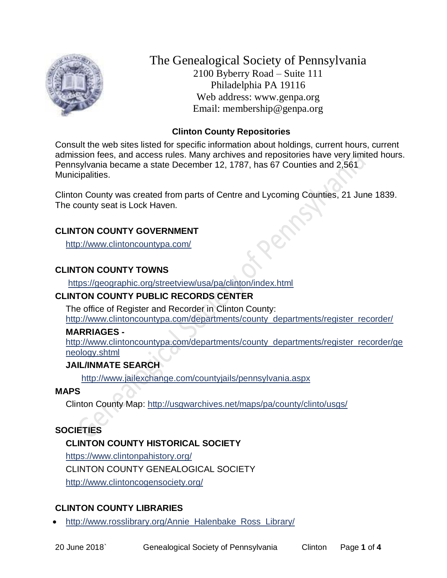

The Genealogical Society of Pennsylvania 2100 Byberry Road – Suite 111 Philadelphia PA 19116 Web address: www.genpa.org Email: membership@genpa.org

### **Clinton County Repositories**

Consult the web sites listed for specific information about holdings, current hours, current admission fees, and access rules. Many archives and repositories have very limited hours. Pennsylvania became a state December 12, 1787, has 67 Counties and 2,561 Municipalities.

Clinton County was created from parts of Centre and Lycoming Counties, 21 June 1839. The county seat is Lock Haven.

## **CLINTON COUNTY GOVERNMENT**

<http://www.clintoncountypa.com/>

# **CLINTON COUNTY TOWNS**

<https://geographic.org/streetview/usa/pa/clinton/index.html>

# **CLINTON COUNTY PUBLIC RECORDS CENTER**

The office of Register and Recorder in Clinton County: [http://www.clintoncountypa.com/departments/county\\_departments/register\\_recorder/](http://www.clintoncountypa.com/departments/county_departments/register_recorder/)

### **MARRIAGES -**

[http://www.clintoncountypa.com/departments/county\\_departments/register\\_recorder/ge](http://www.clintoncountypa.com/departments/county_departments/register_recorder/geneology.shtml) [neology.shtml](http://www.clintoncountypa.com/departments/county_departments/register_recorder/geneology.shtml)

# **JAIL/INMATE SEARCH**

<http://www.jailexchange.com/countyjails/pennsylvania.aspx>

# **MAPS**

Clinton County Map:<http://usgwarchives.net/maps/pa/county/clinto/usgs/>

# **SOCIETIES**

# **CLINTON COUNTY HISTORICAL SOCIETY**

<https://www.clintonpahistory.org/>

CLINTON COUNTY GENEALOGICAL SOCIETY

<http://www.clintoncogensociety.org/>

# **CLINTON COUNTY LIBRARIES**

• [http://www.rosslibrary.org/Annie\\_Halenbake\\_Ross\\_Library/](http://www.rosslibrary.org/Annie_Halenbake_Ross_Library/)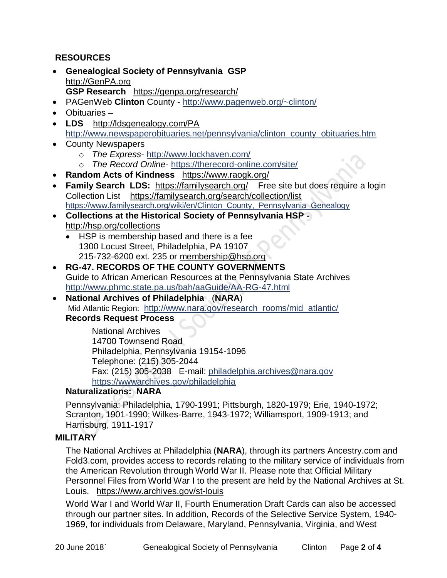### **RESOURCES**

- **Genealogical Society of Pennsylvania GSP** [http://GenPA.org](http://genpa.org/) **GSP Research** <https://genpa.org/research/>
- PAGenWeb **Clinton** County <http://www.pagenweb.org/~clinton/>
- Obituaries –
- **LDS** <http://ldsgenealogy.com/PA> [http://www.newspaperobituaries.net/pennsylvania/clinton\\_county\\_obituaries.htm](http://www.newspaperobituaries.net/pennsylvania/clinton_county_obituaries.htm)
- County Newspapers
	- o *The Express* <http://www.lockhaven.com/>
	- o *The Record Online* <https://therecord-online.com/site/>
- **Random Acts of Kindness** <https://www.raogk.org/>
- **Family Search LDS:** <https://familysearch.org/>Free site but does require a login Collection List <https://familysearch.org/search/collection/list> [https://www.familysearch.org/wiki/en/Clinton\\_County,\\_Pennsylvania\\_Genealogy](https://www.familysearch.org/wiki/en/Clinton_County,_Pennsylvania_Genealogy)
- **Collections at the Historical Society of Pennsylvania HSP**  <http://hsp.org/collections>
	- HSP is membership based and there is a fee 1300 Locust Street, Philadelphia, PA 19107 215-732-6200 ext. 235 or [membership@hsp.org](mailto:membership@hsp.org)
- **RG-47. RECORDS OF THE COUNTY GOVERNMENTS** Guide to African American Resources at the Pennsylvania State Archives <http://www.phmc.state.pa.us/bah/aaGuide/AA-RG-47.html>
- **National Archives of Philadelphia** (**NARA**) Mid Atlantic Region: [http://www.nara.gov/research\\_rooms/mid\\_atlantic/](http://www.nara.gov/research_rooms/mid_atlantic/) **Records Request Process**

National Archives 14700 Townsend Road Philadelphia, Pennsylvania 19154-1096 Telephone: (215) 305-2044 Fax: (215) 305-2038 E-mail: [philadelphia.archives@nara.gov](mailto:philadelphia.archives@nara.gov) <https://wwwarchives.gov/philadelphia>

### **Naturalizations: NARA**

Pennsylvania: Philadelphia, 1790-1991; Pittsburgh, 1820-1979; Erie, 1940-1972; Scranton, 1901-1990; Wilkes-Barre, 1943-1972; Williamsport, 1909-1913; and Harrisburg, 1911-1917

### **MILITARY**

The National Archives at Philadelphia (**NARA**), through its partners Ancestry.com and Fold3.com, provides access to records relating to the military service of individuals from the American Revolution through World War II. Please note that Official Military Personnel Files from World War I to the present are held by the National Archives at St. Louis. <https://www.archives.gov/st-louis>

World War I and World War II, Fourth Enumeration Draft Cards can also be accessed through our partner sites. In addition, Records of the Selective Service System, 1940- 1969, for individuals from Delaware, Maryland, Pennsylvania, Virginia, and West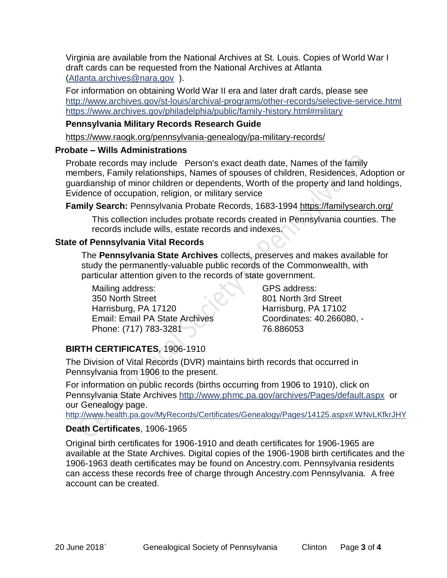Virginia are available from the National Archives at St. Louis. Copies of World War I draft cards can be requested from the National Archives at Atlanta [\(Atlanta.archives@nara.gov](mailto:Atlanta.archives@nara.gov) ).

For information on obtaining World War II era and later draft cards, please see <http://www.archives.gov/st-louis/archival-programs/other-records/selective-service.html> <https://www.archives.gov/philadelphia/public/family-history.html#military>

### **Pennsylvania Military Records Research Guide**

<https://www.raogk.org/pennsylvania-genealogy/pa-military-records/>

#### **Probate – Wills Administrations**

Probate records may include Person's exact death date, Names of the family members, Family relationships, Names of spouses of children, Residences, Adoption or guardianship of minor children or dependents, Worth of the property and land holdings, Evidence of occupation, religion, or military service

**Family Search:** Pennsylvania Probate Records, 1683-1994 <https://familysearch.org/>

This collection includes probate records created in Pennsylvania counties. The records include wills, estate records and indexes.

#### **State of Pennsylvania Vital Records**

The **Pennsylvania State Archives** collects, preserves and makes available for study the permanently-valuable public records of the Commonwealth, with particular attention given to the records of state government.

Mailing address: 350 North Street Harrisburg, PA 17120 Email: Email PA State Archives Phone: (717) 783-3281

GPS address: 801 North 3rd Street Harrisburg, PA 17102 Coordinates: 40.266080, - 76.886053

# **BIRTH CERTIFICATES**, 1906-1910

The Division of Vital Records (DVR) maintains birth records that occurred in Pennsylvania from 1906 to the present.

For information on public records (births occurring from 1906 to 1910), click on Pennsylvania State Archives <http://www.phmc.pa.gov/archives/Pages/default.aspx>or our Genealogy page.

<http://www.health.pa.gov/MyRecords/Certificates/Genealogy/Pages/14125.aspx#.WNvLKfkrJHY>

# **Death Certificates**, 1906-1965

Original birth certificates for 1906-1910 and death certificates for 1906-1965 are available at the State Archives. Digital copies of the 1906-1908 birth certificates and the 1906-1963 death certificates may be found on Ancestry.com. Pennsylvania residents can access these records free of charge through Ancestry.com Pennsylvania. A free account can be created.